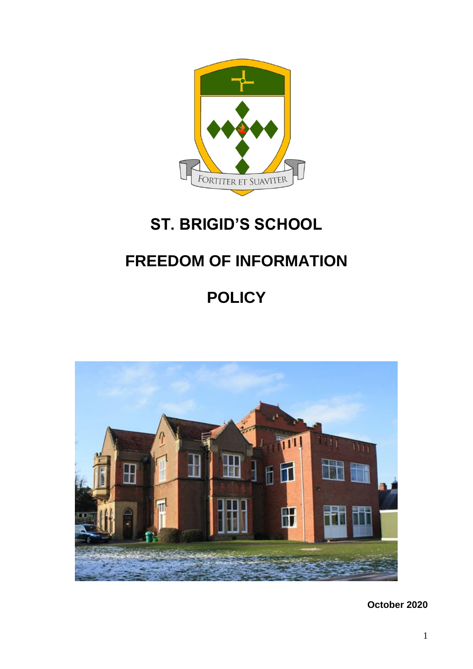

## **ST. BRIGID'S SCHOOL**

## **FREEDOM OF INFORMATION**

# **POLICY**



**October 2020**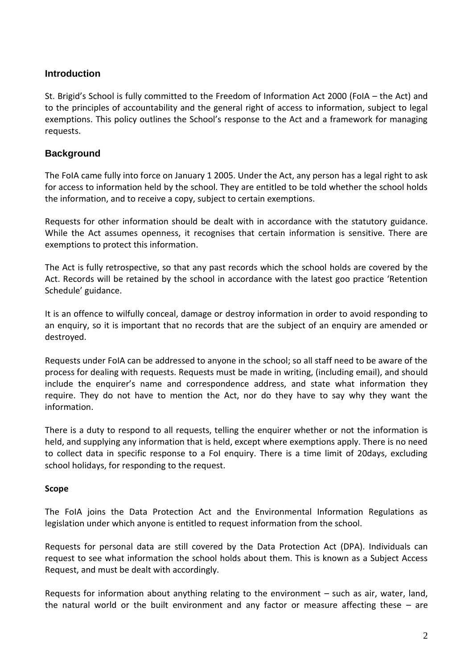### **Introduction**

St. Brigid's School is fully committed to the Freedom of Information Act 2000 (FoIA – the Act) and to the principles of accountability and the general right of access to information, subject to legal exemptions. This policy outlines the School's response to the Act and a framework for managing requests.

## **Background**

The FoIA came fully into force on January 1 2005. Under the Act, any person has a legal right to ask for access to information held by the school. They are entitled to be told whether the school holds the information, and to receive a copy, subject to certain exemptions.

Requests for other information should be dealt with in accordance with the statutory guidance. While the Act assumes openness, it recognises that certain information is sensitive. There are exemptions to protect this information.

The Act is fully retrospective, so that any past records which the school holds are covered by the Act. Records will be retained by the school in accordance with the latest goo practice 'Retention Schedule' guidance.

It is an offence to wilfully conceal, damage or destroy information in order to avoid responding to an enquiry, so it is important that no records that are the subject of an enquiry are amended or destroyed.

Requests under FoIA can be addressed to anyone in the school; so all staff need to be aware of the process for dealing with requests. Requests must be made in writing, (including email), and should include the enquirer's name and correspondence address, and state what information they require. They do not have to mention the Act, nor do they have to say why they want the information.

There is a duty to respond to all requests, telling the enquirer whether or not the information is held, and supplying any information that is held, except where exemptions apply. There is no need to collect data in specific response to a FoI enquiry. There is a time limit of 20days, excluding school holidays, for responding to the request.

#### **Scope**

The FoIA joins the Data Protection Act and the Environmental Information Regulations as legislation under which anyone is entitled to request information from the school.

Requests for personal data are still covered by the Data Protection Act (DPA). Individuals can request to see what information the school holds about them. This is known as a Subject Access Request, and must be dealt with accordingly.

Requests for information about anything relating to the environment – such as air, water, land, the natural world or the built environment and any factor or measure affecting these – are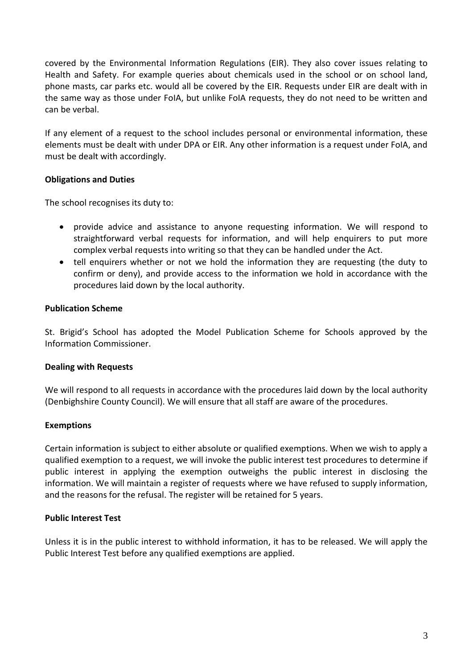covered by the Environmental Information Regulations (EIR). They also cover issues relating to Health and Safety. For example queries about chemicals used in the school or on school land, phone masts, car parks etc. would all be covered by the EIR. Requests under EIR are dealt with in the same way as those under FoIA, but unlike FoIA requests, they do not need to be written and can be verbal.

If any element of a request to the school includes personal or environmental information, these elements must be dealt with under DPA or EIR. Any other information is a request under FoIA, and must be dealt with accordingly.

#### **Obligations and Duties**

The school recognises its duty to:

- provide advice and assistance to anyone requesting information. We will respond to straightforward verbal requests for information, and will help enquirers to put more complex verbal requests into writing so that they can be handled under the Act.
- tell enquirers whether or not we hold the information they are requesting (the duty to confirm or deny), and provide access to the information we hold in accordance with the procedures laid down by the local authority.

#### **Publication Scheme**

St. Brigid's School has adopted the Model Publication Scheme for Schools approved by the Information Commissioner.

#### **Dealing with Requests**

We will respond to all requests in accordance with the procedures laid down by the local authority (Denbighshire County Council). We will ensure that all staff are aware of the procedures.

#### **Exemptions**

Certain information is subject to either absolute or qualified exemptions. When we wish to apply a qualified exemption to a request, we will invoke the public interest test procedures to determine if public interest in applying the exemption outweighs the public interest in disclosing the information. We will maintain a register of requests where we have refused to supply information, and the reasons for the refusal. The register will be retained for 5 years.

#### **Public Interest Test**

Unless it is in the public interest to withhold information, it has to be released. We will apply the Public Interest Test before any qualified exemptions are applied.